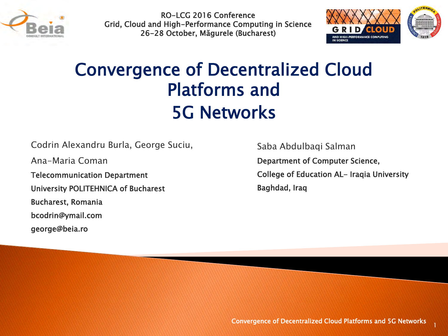

RO-LCG 2016 Conference Grid, Cloud and High-Performance Computing in Science 26-28 October, Măgurele (Bucharest)



### Convergence of Decentralized Cloud Platforms and 5G Networks

Codrin Alexandru Burla, George Suciu,

Ana-Maria Coman

Telecommunication Department

University POLITEHNICA of Bucharest

Bucharest, Romania

bcodrin@ymail.com

george@beia.ro

Saba Abdulbaqi Salman

Department of Computer Science, College of Education AL- Iraqia University Baghdad, Iraq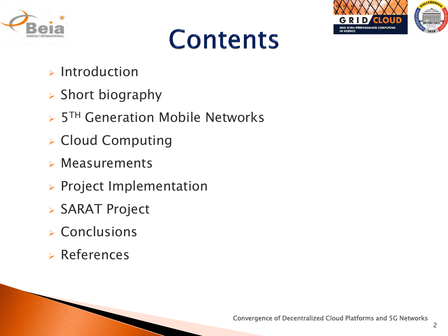





- $\triangleright$  Introduction
- $\triangleright$  Short biography
- **> 5TH Generation Mobile Networks**
- **Example 2 Cloud Computing**
- $\triangleright$  Measurements
- $\triangleright$  Project Implementation
- SARAT Project
- **Exercicles**
- References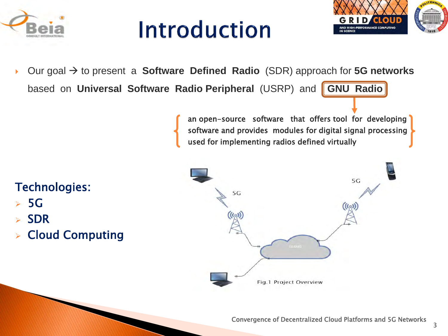

## **Introduction**



▶ Our goal  $\rightarrow$  to present a **Software Defined Radio** (SDR) approach for **5G networks** based on **Universal Software Radio Peripheral** (USRP) and **GNU Radio** 

> an open-source software that offers tool for developing software and provides modules for digital signal processing used for implementing radios defined virtually

### Technologies:

- 5G
- SDR
- Cloud Computing

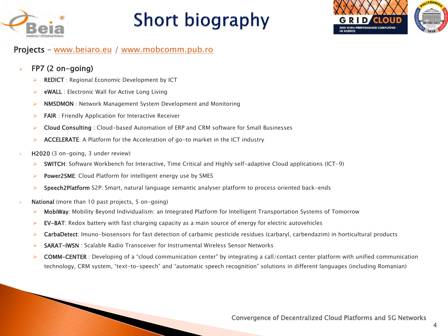

## **Short biography**



#### Projects – [www.beiaro.eu](http://www.beiaro.eu/) / [www.mobcomm.pub.ro](http://www.mobcomm.pub.ro/)

#### FP7 (2 on-going)

- REDICT : Regional Economic Development by ICT
- $\triangleright$  eWALL : Electronic Wall for Active Long Living
- ▶ NMSDMON : Network Management System Development and Monitoring
- $\triangleright$  **FAIR** : Friendly Application for Interactive Receiver
- ▶ Cloud Consulting : Cloud-based Automation of ERP and CRM software for Small Businesses
- $\triangleright$  **ACCELERATE:** A Platform for the Acceleration of go-to market in the ICT industry
- H2020 (3 on-going, 3 under review)
	- $\triangleright$  SWITCH: Software Workbench for Interactive, Time Critical and Highly self-adaptive Cloud applications (ICT-9)
	- Power2SME: Cloud Platform for intelligent energy use by SMES
	- Speech2Platform S2P: Smart, natural language semantic analyser platform to process oriented back-ends
- National (more than 10 past projects, 5 on-going)
	- MobiWay: Mobility Beyond Individualism: an Integrated Platform for Intelligent Transportation Systems of Tomorrow
	- $\triangleright$  **EV-BAT**: Redox battery with fast charging capacity as a main source of energy for electric autovehicles
	- **EarbaDetect**: Imuno-biosensors for fast detection of carbamic pesticide residues (carbaryl, carbendazim) in horticultural products
	- $\triangleright$  SARAT-IWSN : Scalable Radio Transceiver for Instrumental Wireless Sensor Networks
	- COMM-CENTER : Developing of a "cloud communication center" by integrating a call/contact center platform with unified communication technology, CRM system, "text-to-speech" and "automatic speech recognition" solutions in different languages (including Romanian)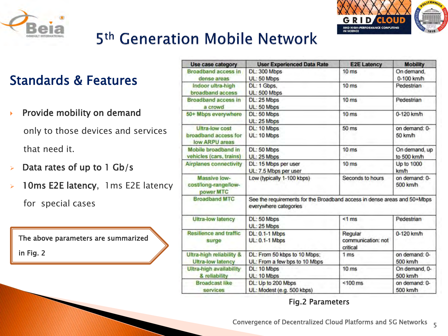



### 5<sup>th</sup> Generation Mobile Network

### Standards & Features

Provide mobility on demand

only to those devices and services that need it.

- Data rates of up to 1 Gb/s
- 10ms E2E latency, 1ms E2E latency

for special cases

The above parameters are summarized in Fig. 2

| <b>Use case category</b>                                 | <b>User Experienced Data Rate</b>                                                                 | <b>E2E Latency</b>                        | <b>Mobility</b>              |  |
|----------------------------------------------------------|---------------------------------------------------------------------------------------------------|-------------------------------------------|------------------------------|--|
| <b>Broadband access in</b><br>dense areas                | DL: 300 Mbps<br>UL: 50 Mbps                                                                       | 10 <sub>ms</sub>                          | On demand,<br>$0-100$ km/h   |  |
| Indoor ultra-high<br>broadband access                    | DL: 1 Gbps,<br>UL: 500 Mbps                                                                       | 10 <sub>ms</sub>                          | Pedestrian                   |  |
| <b>Broadband access in</b><br>a crowd                    | DL: 25 Mbps<br>UL: 50 Mbps                                                                        | 10 <sub>ms</sub>                          | Pedestrian                   |  |
| 50+ Mbps everywhere                                      | DL: 50 Mbps<br>UL: 25 Mbps                                                                        | 10 <sub>ms</sub>                          | 0-120 km/h                   |  |
| Ultra-low cost<br>broadband access for<br>low ARPU areas | DL: 10 Mbps<br>UL: 10 Mbps                                                                        | 50 ms                                     | on demand: 0-<br>50 km/h     |  |
| Mobile broadband in<br>vehicles (cars, trains)           | DL: 50 Mbps<br>UL: 25 Mbps                                                                        | 10 <sub>ms</sub>                          | On demand, up<br>to 500 km/h |  |
| <b>Airplanes connectivity</b>                            | DL: 15 Mbps per user<br>UL: 7.5 Mbps per user                                                     | 10 <sub>ms</sub>                          | Up to 1000<br>km/h           |  |
| Massive low-<br>cost/long-range/low-<br>power MTC        | Low (typically 1-100 kbps)                                                                        | Seconds to hours                          | on demand: 0-<br>500 km/h    |  |
| <b>Broadband MTC</b>                                     | See the requirements for the Broadband access in dense areas and 50+Mbps<br>everywhere categories |                                           |                              |  |
| <b>Ultra-low latency</b>                                 | DL: 50 Mbps<br>UL: 25 Mbps                                                                        | $<1$ ms                                   | Pedestrian                   |  |
| <b>Resilience and traffic</b><br>surge                   | <b>DL: 0.1-1 Mbps</b><br><b>UL: 0.1-1 Mbps</b>                                                    | Regular<br>communication: not<br>critical | 0-120 km/h                   |  |
| Ultra-high reliability &<br><b>Ultra-low latency</b>     | DL: From 50 kbps to 10 Mbps;<br>UL: From a few bps to 10 Mbps                                     | 1 <sub>ms</sub>                           | on demand: 0-<br>500 km/h    |  |
| <b>Ultra-high availability</b><br>& reliability          | DL: 10 Mbps<br>UL: 10 Mbps                                                                        | 10 <sub>ms</sub>                          | On demand, 0-<br>500 km/h    |  |
| <b>Broadcast like</b><br>services                        | DL: Up to 200 Mbps<br>UL: Modest (e.g. 500 kbps)                                                  | $< 100$ ms                                | on demand: 0-<br>500 km/h    |  |

### Fig.2 Parameters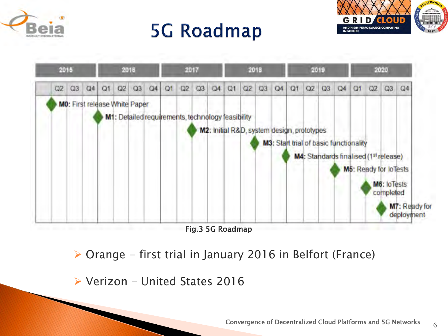

## **5G Roadmap**



6



 $\triangleright$  Orange - first trial in January 2016 in Belfort (France)

 $\triangleright$  Verizon - United States 2016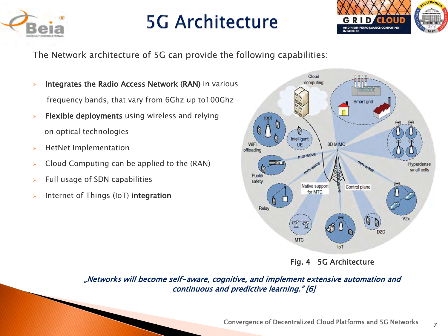

### **5G Architecture**



7

The Network architecture of 5G can provide the following capabilities:

- **Integrates the Radio Access Network (RAN)** in various frequency bands, that vary from 6Ghz up to100Ghz
- $\triangleright$  Flexible deployments using wireless and relying on optical technologies
- $\triangleright$  HetNet Implementation
- $\triangleright$  Cloud Computing can be applied to the (RAN)
- $\triangleright$  Full usage of SDN capabilities
- Internet of Things (IoT) integration



Fig. 4 5G Architecture

"Networks will become self-aware, cognitive, and implement extensive automation and continuous and predictive learning." [6]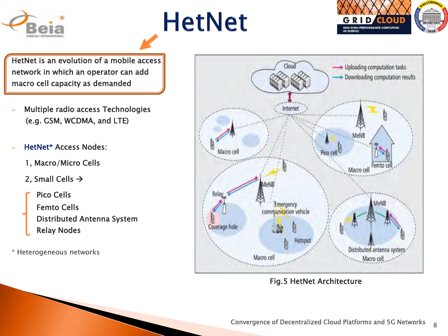





HetNet is an evolution of a mobile access network in which an operator can add macro cell capacity as demanded

- Multiple radio access Technologies (e.g. GSM, WCDMA, and LTE)
- HetNet\* Access Nodes:
	- 1, Macro/Micro Cells
	- 2, Small Cells  $\rightarrow$

Pico Cells Femto Cells Distributed Antenna System Relay Nodes

\* Heterogeneous networks



Fig.5 HetNet Architecture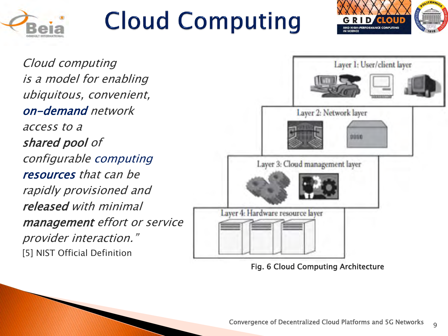

# **Cloud Computing**



Cloud computing is <sup>a</sup> model for enabling ubiquitous, convenient, on-demand network access to a shared pool of configurable computing resources that can be rapidly provisioned and released with minimal management effort or service provider interaction." [5] NIST Official Definition



Fig. 6 Cloud Computing Architecture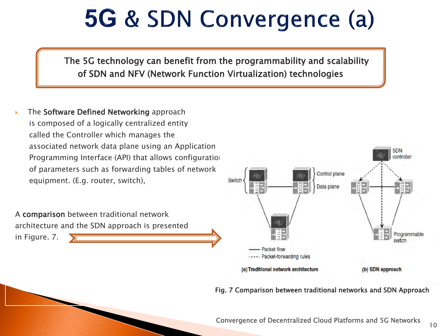## **5G & SDN Convergence (a)**

The 5G technology can benefit from the programmability and scalability of SDN and NFV (Network Function Virtualization) technologies

 The Software Defined Networking approach is composed of a logically centralized entity called the Controller which manages the associated network data plane using an Application Programming Interface (API) that allows configuration of parameters such as forwarding tables of network equipment. (E.g. router, switch),

A comparison between traditional network

in Figure. 7.

architecture and the SDN approach is presented



#### Fig. 7 Comparison between traditional networks and SDN Approach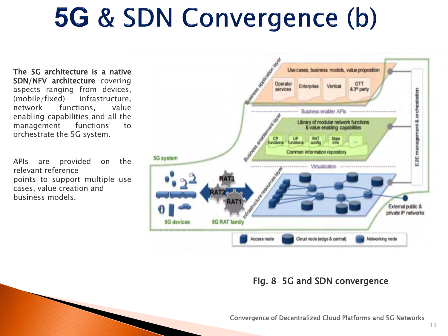# 5G & SDN Convergence (b)

The 5G architecture is a native SDN/NFV architecture covering aspects ranging from devices, (mobile/fixed) infrastructure, network functions, value enabling capabilities and all the management functions to orchestrate the 5G system.

APIs are provided on the relevant reference points to support multiple use cases, value creation and business models.



#### Fig. 8 5G and SDN convergence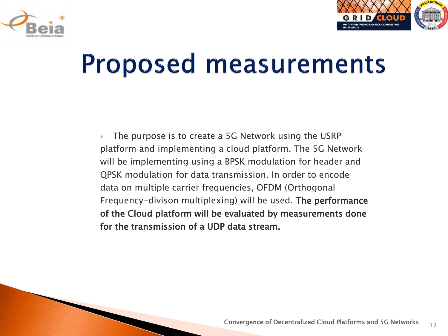



## **Proposed measurements**

 The purpose is to create a 5G Network using the USRP platform and implementing a cloud platform. The 5G Network will be implementing using a BPSK modulation for header and QPSK modulation for data transmission. In order to encode data on multiple carrier frequencies, OFDM (Orthogonal Frequency-divison multiplexing) will be used. The performance of the Cloud platform will be evaluated by measurements done for the transmission of a UDP data stream.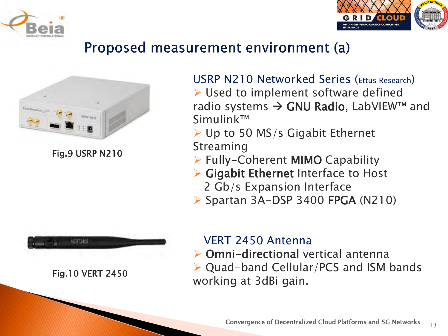



### Proposed measurement environment (a)



Fig.9 USRP N210



Fig.10 VERT 2450

### USRP N210 Networked Series (Ettus Research)  $\triangleright$  Used to implement software defined radio systems  $\rightarrow$  GNU Radio, LabVIEW<sup>TM</sup> and Simulink™

- $\triangleright$  Up to 50 MS/s Gigabit Ethernet Streaming
- Fully-Coherent MIMO Capability
- $\triangleright$  Gigabit Ethernet Interface to Host 2 Gb/s Expansion Interface
- $\triangleright$  Spartan 3A-DSP 3400 FPGA (N210)

### VERT 2450 Antenna

- ▶ Omni-directional vertical antenna
- Quad-band Cellular/PCS and ISM bands working at 3dBi gain.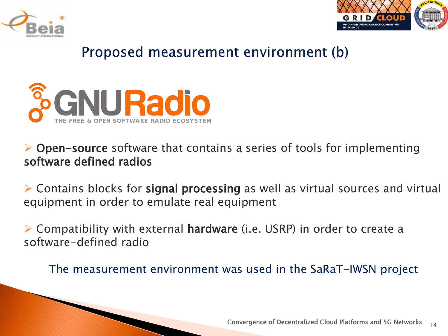



### Proposed measurement environment (b)



### $\triangleright$  Open-source software that contains a series of tools for implementing software defined radios

 Contains blocks for signal processing as well as virtual sources and virtual equipment in order to emulate real equipment

 $\triangleright$  Compatibility with external hardware (i.e. USRP) in order to create a software-defined radio

The measurement environment was used in the SaRaT-IWSN project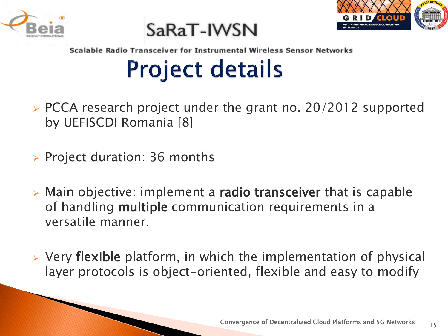

SaRaT-IWSN



Scalable Radio Transceiver for Instrumental Wireless Sensor Networks

## **Project details**

- $\triangleright$  PCCA research project under the grant no. 20/2012 supported by UEFISCDI Romania [8]
- $\triangleright$  Project duration: 36 months
- $\triangleright$  Main objective: implement a radio transceiver that is capable of handling multiple communication requirements in a versatile manner.
- $\triangleright$  Very flexible platform, in which the implementation of physical layer protocols is object-oriented, flexible and easy to modify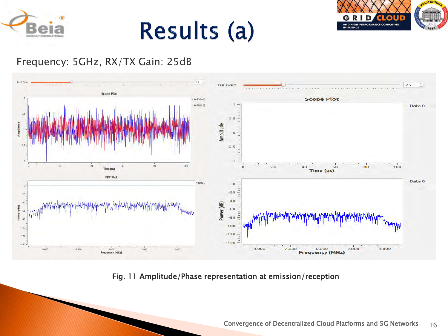

## Results (a)



### Frequency: 5GHz, RX/TX Gain: 25dB



Fig. 11 Amplitude/Phase representation at emission/reception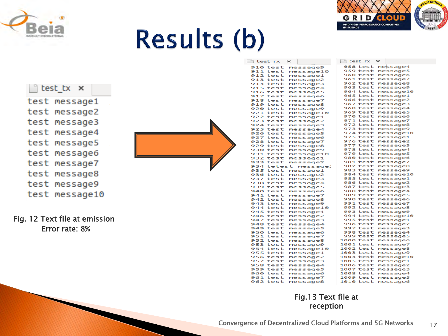

# **Results (b)**



### $\int$  test tx  $\times$ test message1 test message2 test message3 test message4 test message5 test message6 test message7 test message8 test message9

test message10

Fig. 12 Text file at emission Error rate: 8%



| $\Box$ test_rx       | $\mathbb{\times}$    | $\Box$ test_rx              | $\sim$               |
|----------------------|----------------------|-----------------------------|----------------------|
| 910 test             | message9             | <b>958 test</b>             | message4             |
| 911 test             | message10            | 959 test                    | message5             |
| 912 test             | message1             | <b>960 test</b>             | message6             |
| 913 test             | message2             | <b>961 test</b>             | message7             |
| 914 test             | message3             | <b>962 test</b>             | message8             |
| 915 test             | message4             | 963 test                    | message9             |
| 916 test             | message5             | 964 test                    | message10            |
| 917 test             | message6             | <b>965 test</b>             | message1             |
| 918 test             | message7             | <b>966 test</b>             | message2             |
| 919 test             | message8             | 967 test                    | message3             |
| 920 test             | message9             | 968 test                    | message4             |
| 921 test             | message10            | <b>969 test</b>             | message5             |
| 922 test             | message1             | 970 test                    | message6             |
| 923 test             | message2             | 971 test                    | message7             |
| 924 test             | message3             | 972 test                    | message8             |
| 925 test             | message4             | 973 test                    | message9             |
| 926 test             | message5             | 974 test                    | message10            |
| 927 test             | message6             | 975 test                    | message1             |
| 928 test             | message7             | <b>976 test</b>             | message2             |
| 929 test             | message8             | 977 test                    | message3             |
| 930 test             | message9             | 978 test                    | message4             |
| 931 test             | message10            | 979 test                    | message5             |
| 932 test             | message1             | 980 test                    | message6             |
| 933 test             | message2             | 981 test                    | message7             |
|                      | 934 tetest message:  | 982 test                    | message8             |
| 935 test             | message1             | 983 test                    | message9             |
| 936 test             | message2             | 984 test                    | message10            |
| 937 test             | message3             | <b>985 test</b>             | message1             |
| 938 test             | message4             | <b>986 test</b>             | message2             |
| 939 test             | message5             | 987 test                    | message3             |
| 940 test             | message6             | 988 test                    | message4             |
| 941 test             | message7             | 989 test                    | message5             |
| 942 test             | message8             | 990 test                    | message6             |
| 943 test             | message9             | 991 test                    | message7             |
| 944 test             | message10            | 992 test                    | message8             |
| 945 test             | message1             | 993 test                    | message9             |
| 946 test             | message2             | 994 test<br><b>995 test</b> | message10            |
| 947 test<br>948 test | message3             | <b>996 test</b>             | message1<br>message2 |
| 949 test             | message4             | 997 test                    | message3             |
| 950 test             | message5<br>message6 | 998 test                    | message4             |
| 951 test             | message7             | 999 test                    | message5             |
| 952 test             | message8             | 1000 test                   | message6             |
| 953 test             | message9             | 1001 test                   | message7             |
| 954 test             | message10            | 1002 test                   | message8             |
| 955 test             | message1             | 1003 test                   | message9             |
| <b>956 test</b>      | message2             | 1004 test                   | message10            |
| 957 test             | message3             | 1005 test                   | message1             |
| 958 test             | message4             | 1006 test                   | message2             |
| 959 test             | message5             | 1007 test                   | message3             |
| <b>960 test</b>      | message6             | $1008$ test                 | message4             |
| 961 test             | message7             | 1009 test                   | message5             |
| 962 test             | message8             | 1010 test                   | message6             |
|                      |                      |                             |                      |

#### Fig.13 Text file at reception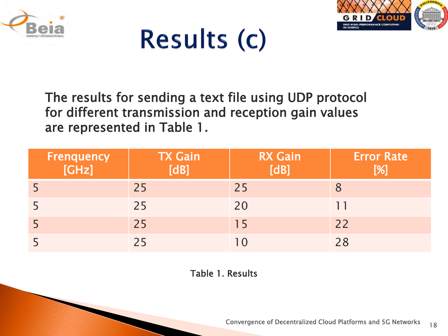





The results for sending a text file using UDP protocol for different transmission and reception gain values are represented in Table 1.

| Frenquency<br>[GHz] | <b>TX Gain</b><br>[dB] | <b>RX Gain</b><br>$\overline{\text{[dB]}}$ | <b>Error Rate</b><br>[%] |
|---------------------|------------------------|--------------------------------------------|--------------------------|
|                     | 25                     | 25                                         |                          |
|                     | 25                     | 20                                         |                          |
|                     | 25                     | 15                                         | 22                       |
|                     | 25                     |                                            | 28                       |

Table 1. Results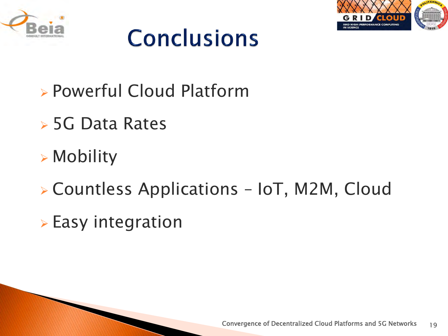



## **Conclusions**

- Powerful Cloud Platform
- 5G Data Rates
- Mobility
- Countless Applications IoT, M2M, Cloud
- $\triangleright$  Easy integration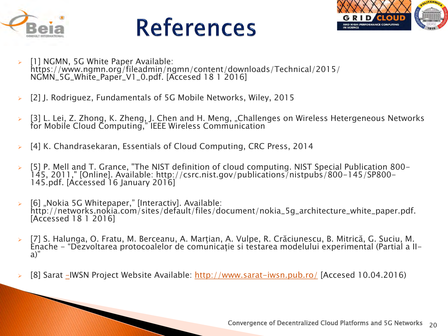

## **References**



- [1] NGMN, 5G White Paper Available: https://www.ngmn.org/fileadmin/ngmn/content/downloads/Technical/2015/ NGMN\_5G\_White\_Paper\_V1\_0.pdf. [Accesed 18 1 2016]
- [2] J. Rodriguez, Fundamentals of 5G Mobile Networks, Wiley, 2015

and the contract of the contract of

- [3] L. Lei, Z. Zhong, K. Zheng, J. Chen and H. Meng, "Challenges on Wireless Hetergeneous Networks for Mobile Cloud Computing," IEEE Wireless Communication
- [4] K. Chandrasekaran, Essentials of Cloud Computing, CRC Press, 2014
- [5] P. Mell and T. Grance, "The NIST definition of cloud computing. NIST Special Publication 800- 145, 2011," [Online]. Available: http://csrc.nist.gov/publications/nistpubs/800-145/SP800- 145.pdf. [Accessed 16 January 2016]
- [6] "Nokia 5G Whitepaper," [Interactiv]. Available: http://networks.nokia.com/sites/default/files/document/nokia\_5g\_architecture\_white\_paper.pdf. [Accessed 18 1 2016]
- [7] S. Halunga, O. Fratu, M. Berceanu, A. Marțian, A. Vulpe, R. Crăciunescu, B. Mitrică, G. Suciu, M. Enache - "Dezvoltarea protocoalelor de comunicație si testarea modelului experimental (Partial a IIa)"
- [8] Sarat [–](http://www.sarat-iwsn.pub.ro/)IWSN Project Website Available: <http://www.sarat-iwsn.pub.ro/> [Accesed 10.04.2016)